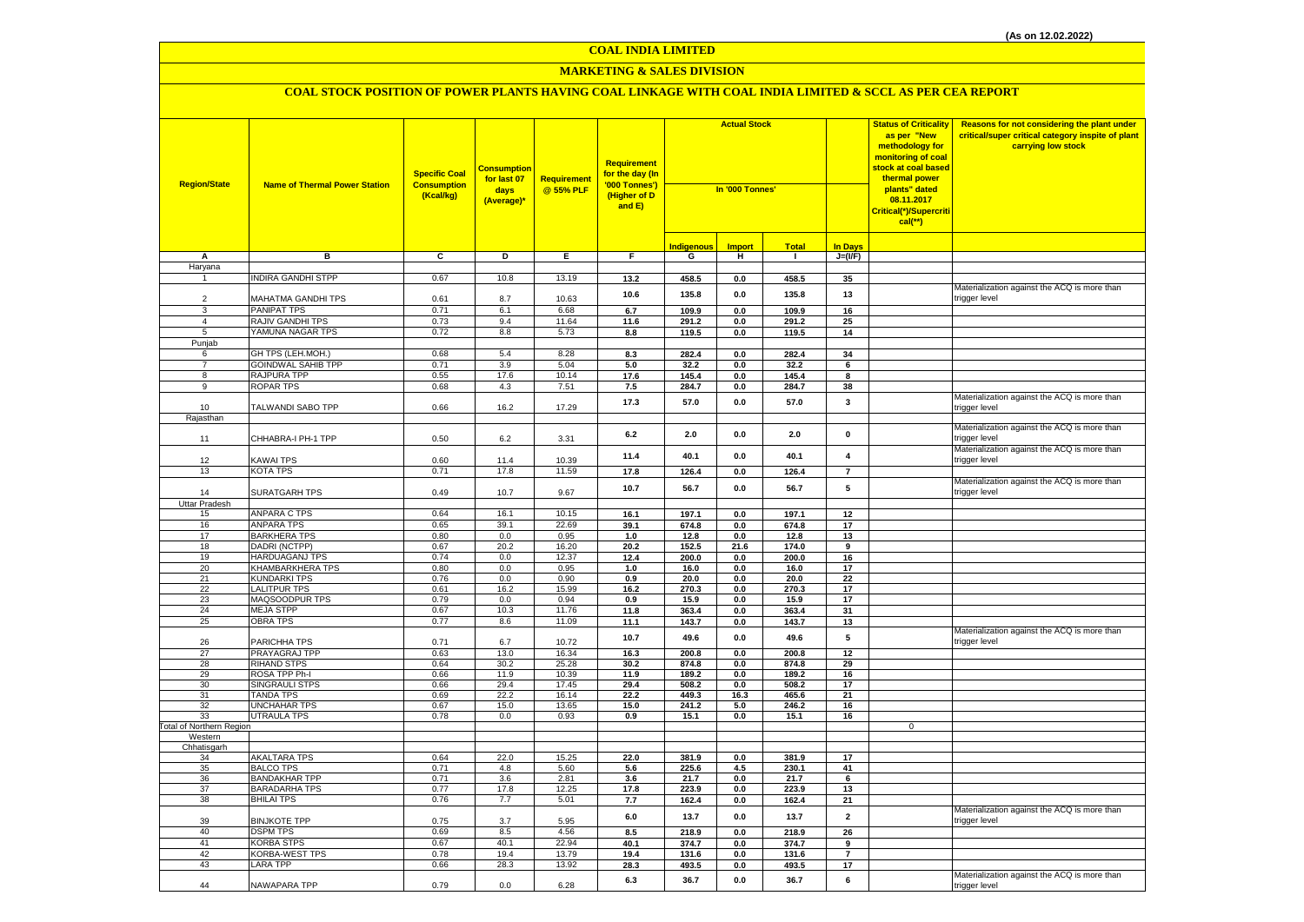### **MARKETING & SALES DIVISION**

| <b>Region/State</b>             | <b>Name of Thermal Power Station</b>         | <b>Specific Coal</b><br><b>Consumption</b><br>(Kcal/kg) | <b>Consumption</b><br>for last 07<br>days<br>(Average)* | <b>Requirement</b><br>@ 55% PLF | Requirement<br>for the day (In<br>'000 Tonnes')<br>(Higher of D<br>and E) | <b>Actual Stock</b><br>In '000 Tonnes' |                |                |                         | <b>Status of Criticality</b><br>as per "New<br>methodology for<br>monitoring of coal<br><mark>stock at coal based</mark><br>thermal power<br>plants" dated<br>08.11.2017<br>Critical(*)/Supercriti<br>$cal$ (**) | Reasons for not considering the plant under<br>critical/super critical category inspite of plant<br>carrying low stock |
|---------------------------------|----------------------------------------------|---------------------------------------------------------|---------------------------------------------------------|---------------------------------|---------------------------------------------------------------------------|----------------------------------------|----------------|----------------|-------------------------|------------------------------------------------------------------------------------------------------------------------------------------------------------------------------------------------------------------|------------------------------------------------------------------------------------------------------------------------|
|                                 |                                              |                                                         |                                                         |                                 |                                                                           | <b>Indigenous</b>                      | <b>Import</b>  | <b>Total</b>   | <b>In Days</b>          |                                                                                                                                                                                                                  |                                                                                                                        |
| Α                               | в                                            | C                                                       | D                                                       | Е.                              | F.                                                                        | G                                      | н              | $\mathbf{I}$   | $J=(VF)$                |                                                                                                                                                                                                                  |                                                                                                                        |
| Haryana                         |                                              |                                                         |                                                         |                                 |                                                                           |                                        |                |                |                         |                                                                                                                                                                                                                  |                                                                                                                        |
| $\mathbf{1}$                    | <b>INDIRA GANDHI STPP</b>                    | 0.67                                                    | 10.8                                                    | 13.19                           | 13.2                                                                      | 458.5                                  | 0.0            | 458.5          | 35                      |                                                                                                                                                                                                                  |                                                                                                                        |
|                                 |                                              |                                                         |                                                         |                                 | 10.6                                                                      | 135.8                                  | 0.0            | 135.8          | 13                      |                                                                                                                                                                                                                  | Materialization against the ACQ is more than                                                                           |
| $\mathcal{P}$<br>$\mathbf{B}$   | MAHATMA GANDHI TPS                           | 0.61                                                    | 8.7                                                     | 10.63                           |                                                                           |                                        |                |                |                         |                                                                                                                                                                                                                  | trigger level                                                                                                          |
| $\overline{4}$                  | <b>PANIPAT TPS</b><br>RAJIV GANDHI TPS       | 0.71<br>0.73                                            | 6.1<br>9.4                                              | 6.68<br>11.64                   | 6.7<br>11.6                                                               | 109.9                                  | 0.0            | 109.9          | 16<br>25                |                                                                                                                                                                                                                  |                                                                                                                        |
| 5                               | YAMUNA NAGAR TPS                             | 0.72                                                    | 8.8                                                     | 5.73                            | 8.8                                                                       | 291.2<br>119.5                         | 0.0<br>$0.0\,$ | 291.2<br>119.5 | 14                      |                                                                                                                                                                                                                  |                                                                                                                        |
| Punjab                          |                                              |                                                         |                                                         |                                 |                                                                           |                                        |                |                |                         |                                                                                                                                                                                                                  |                                                                                                                        |
| 6                               | GH TPS (LEH.MOH.)                            | 0.68                                                    | 5.4                                                     | 8.28                            | 8.3                                                                       | 282.4                                  | $0.0\,$        | 282.4          | 34                      |                                                                                                                                                                                                                  |                                                                                                                        |
| $\overline{7}$                  | <b>GOINDWAL SAHIB TPP</b>                    | 0.71                                                    | 3.9                                                     | 5.04                            | 5.0                                                                       | 32.2                                   | 0.0            | 32.2           | 6                       |                                                                                                                                                                                                                  |                                                                                                                        |
| 8                               | RAJPURA TPP                                  | 0.55                                                    | 17.6                                                    | 10.14                           | 17.6                                                                      | 145.4                                  | 0.0            | 145.4          | 8                       |                                                                                                                                                                                                                  |                                                                                                                        |
| 9                               | <b>ROPAR TPS</b>                             | 0.68                                                    | 4.3                                                     | 7.51                            | 7.5                                                                       | 284.7                                  | 0.0            | 284.7          | 38                      |                                                                                                                                                                                                                  |                                                                                                                        |
| 10                              | TALWANDI SABO TPP                            | 0.66                                                    | 16.2                                                    | 17.29                           | 17.3                                                                      | 57.0                                   | 0.0            | 57.0           | $\mathbf{3}$            |                                                                                                                                                                                                                  | Materialization against the ACQ is more than<br>trigger level                                                          |
| Rajasthan                       |                                              |                                                         |                                                         |                                 |                                                                           |                                        |                |                |                         |                                                                                                                                                                                                                  |                                                                                                                        |
| 11                              | CHHABRA-I PH-1 TPP                           | 0.50                                                    | $6.2\,$                                                 | 3.31                            | 6.2                                                                       | 2.0                                    | $0.0\,$        | 2.0            | $\pmb{0}$               |                                                                                                                                                                                                                  | Materialization against the ACQ is more than<br>rigger level                                                           |
|                                 |                                              |                                                         |                                                         |                                 | 11.4                                                                      | 40.1                                   | 0.0            | 40.1           | $\overline{\mathbf{4}}$ |                                                                                                                                                                                                                  | Materialization against the ACQ is more than                                                                           |
| 12                              | <b>KAWAI TPS</b>                             | 0.60                                                    | 11.4                                                    | 10.39<br>11.59                  |                                                                           |                                        |                |                |                         |                                                                                                                                                                                                                  | trigger level                                                                                                          |
| 13                              | <b>KOTA TPS</b>                              | 0.71                                                    | 17.8                                                    |                                 | 17.8                                                                      | 126.4                                  | 0.0            | 126.4          | $\overline{7}$          |                                                                                                                                                                                                                  | Materialization against the ACQ is more than                                                                           |
| 14                              | <b>SURATGARH TPS</b>                         | 0.49                                                    | 10.7                                                    | 9.67                            | 10.7                                                                      | 56.7                                   | 0.0            | 56.7           | 5                       |                                                                                                                                                                                                                  | trigger level                                                                                                          |
| <b>Uttar Pradesh</b><br>15      | <b>ANPARA C TPS</b>                          | 0.64                                                    | 16.1                                                    | 10.15                           | 16.1                                                                      | 197.1                                  | $0.0\,$        | 197.1          | $12\,$                  |                                                                                                                                                                                                                  |                                                                                                                        |
| 16                              | <b>ANPARA TPS</b>                            | 0.65                                                    | 39.1                                                    | 22.69                           | 39.1                                                                      | 674.8                                  | 0.0            | 674.8          | $17\,$                  |                                                                                                                                                                                                                  |                                                                                                                        |
| 17                              | <b>BARKHERA TPS</b>                          | 0.80                                                    | 0.0                                                     | 0.95                            | 1.0                                                                       | 12.8                                   | 0.0            | 12.8           | 13                      |                                                                                                                                                                                                                  |                                                                                                                        |
| 18                              | DADRI (NCTPP)                                | 0.67                                                    | 20.2                                                    | 16.20                           | 20.2                                                                      | 152.5                                  | 21.6           | 174.0          | 9                       |                                                                                                                                                                                                                  |                                                                                                                        |
| 19                              | <b>HARDUAGANJ TPS</b>                        | 0.74                                                    | 0.0                                                     | 12.37                           | 12.4                                                                      | 200.0                                  | 0.0            | 200.0          | 16                      |                                                                                                                                                                                                                  |                                                                                                                        |
| 20                              | <b>KHAMBARKHERA TPS</b>                      | 0.80                                                    | 0.0                                                     | 0.95                            | 1.0                                                                       | 16.0                                   | 0.0            | 16.0           | 17                      |                                                                                                                                                                                                                  |                                                                                                                        |
| 21                              | <b>KUNDARKI TPS</b>                          | 0.76                                                    | 0.0                                                     | 0.90                            | 0.9                                                                       | 20.0                                   | $\mathbf{0.0}$ | 20.0           | 22                      |                                                                                                                                                                                                                  |                                                                                                                        |
| 22                              | <b>LALITPUR TPS</b>                          | 0.61                                                    | 16.2                                                    | 15.99                           | $16.2$                                                                    | 270.3                                  | 0.0            | 270.3          | 17                      |                                                                                                                                                                                                                  |                                                                                                                        |
| 23                              | MAQSOODPUR TPS                               | 0.79                                                    | 0.0                                                     | 0.94                            | 0.9                                                                       | 15.9                                   | $0.0\,$        | 15.9           | 17                      |                                                                                                                                                                                                                  |                                                                                                                        |
| 24                              | <b>MEJA STPP</b>                             | 0.67                                                    | 10.3                                                    | 11.76                           | 11.8                                                                      | 363.4                                  | 0.0            | 363.4          | 31                      |                                                                                                                                                                                                                  |                                                                                                                        |
| 25                              | OBRA TPS                                     | 0.77                                                    | 8.6                                                     | 11.09                           | 11.1                                                                      | 143.7                                  | 0.0            | 143.7          | 13                      |                                                                                                                                                                                                                  | Materialization against the ACQ is more than                                                                           |
| 26                              | PARICHHA TPS                                 | 0.71                                                    | 6.7                                                     | 10.72                           | 10.7                                                                      | 49.6                                   | 0.0            | 49.6           | 5                       |                                                                                                                                                                                                                  | trigger level                                                                                                          |
| 27                              | PRAYAGRAJ TPP                                | 0.63                                                    | 13.0                                                    | 16.34                           | 16.3                                                                      | 200.8                                  | 0.0            | 200.8          | 12                      |                                                                                                                                                                                                                  |                                                                                                                        |
| 28                              | <b>RIHAND STPS</b>                           | 0.64                                                    | 30.2                                                    | 25.28                           | 30.2                                                                      | 874.8                                  | 0.0            | 874.8          | 29                      |                                                                                                                                                                                                                  |                                                                                                                        |
| 29                              | ROSA TPP Ph-I                                | 0.66                                                    | 11.9                                                    | 10.39                           | 11.9                                                                      | 189.2                                  | 0.0            | 189.2          | 16                      |                                                                                                                                                                                                                  |                                                                                                                        |
| 30                              | <b>SINGRAULI STPS</b>                        | 0.66                                                    | 29.4                                                    | 17.45                           | 29.4                                                                      | 508.2                                  | 0.0            | 508.2          | 17                      |                                                                                                                                                                                                                  |                                                                                                                        |
| 31                              | <b>TANDA TPS</b><br><b>UNCHAHAR TPS</b>      | 0.69<br>0.67                                            | 22.2                                                    | 16.14                           | 22.2<br>15.0                                                              | 449.3                                  | 16.3<br>5.0    | 465.6          | 21<br>16                |                                                                                                                                                                                                                  |                                                                                                                        |
| 32<br>33                        | <b>UTRAULA TPS</b>                           | 0.78                                                    | 15.0<br>0.0                                             | 13.65<br>0.93                   | 0.9                                                                       | 241.2<br>15.1                          | 0.0            | 246.2<br>15.1  | 16                      |                                                                                                                                                                                                                  |                                                                                                                        |
| <b>Total of Northern Region</b> |                                              |                                                         |                                                         |                                 |                                                                           |                                        |                |                |                         | 0                                                                                                                                                                                                                |                                                                                                                        |
| Western                         |                                              |                                                         |                                                         |                                 |                                                                           |                                        |                |                |                         |                                                                                                                                                                                                                  |                                                                                                                        |
| Chhatisgarh                     |                                              |                                                         |                                                         |                                 |                                                                           |                                        |                |                |                         |                                                                                                                                                                                                                  |                                                                                                                        |
| 34                              | <b>AKALTARA TPS</b>                          | 0.64                                                    | 22.0                                                    | 15.25                           | 22.0                                                                      | 381.9                                  | $0.0\,$        | 381.9          | 17                      |                                                                                                                                                                                                                  |                                                                                                                        |
| 35                              | <b>BALCO TPS</b>                             | 0.71                                                    | 4.8                                                     | 5.60                            | 5.6                                                                       | 225.6                                  | 4.5            | 230.1          | 41                      |                                                                                                                                                                                                                  |                                                                                                                        |
| 36<br>37                        | <b>BANDAKHAR TPP</b><br><b>BARADARHA TPS</b> | 0.71<br>0.77                                            | 3.6<br>17.8                                             | 2.81<br>12.25                   | 3.6<br>17.8                                                               | 21.7<br>223.9                          | 0.0<br>0.0     | 21.7<br>223.9  | 6<br>13                 |                                                                                                                                                                                                                  |                                                                                                                        |
| 38                              | <b>BHILAI TPS</b>                            | 0.76                                                    | 7.7                                                     | 5.01                            | 7.7                                                                       | 162.4                                  | 0.0            | 162.4          | 21                      |                                                                                                                                                                                                                  |                                                                                                                        |
| 39                              | <b>BINJKOTE TPP</b>                          | 0.75                                                    | 3.7                                                     | 5.95                            | 6.0                                                                       | 13.7                                   | 0.0            | 13.7           | $\overline{2}$          |                                                                                                                                                                                                                  | Materialization against the ACQ is more than<br>trigger level                                                          |
| 40                              | <b>DSPM TPS</b>                              | 0.69                                                    | 8.5                                                     | 4.56                            | 8.5                                                                       | 218.9                                  | 0.0            | 218.9          | 26                      |                                                                                                                                                                                                                  |                                                                                                                        |
| 41                              | <b>KORBA STPS</b>                            | 0.67                                                    | 40.1                                                    | 22.94                           | 40.1                                                                      | 374.7                                  | $0.0\,$        | 374.7          | 9                       |                                                                                                                                                                                                                  |                                                                                                                        |
| 42                              | <b>KORBA-WEST TPS</b>                        | 0.78                                                    | 19.4                                                    | 13.79                           | 19.4                                                                      | 131.6                                  | 0.0            | 131.6          | $\overline{7}$          |                                                                                                                                                                                                                  |                                                                                                                        |
| 43                              | <b>LARA TPP</b>                              | 0.66                                                    | 28.3                                                    | 13.92                           | 28.3                                                                      | 493.5                                  | 0.0            | 493.5          | 17                      |                                                                                                                                                                                                                  |                                                                                                                        |
| 44                              | NAWAPARA TPP                                 | 0.79                                                    | 0.0                                                     | 6.28                            | 6.3                                                                       | 36.7                                   | 0.0            | 36.7           | 6                       |                                                                                                                                                                                                                  | Materialization against the ACQ is more than<br>trigger level                                                          |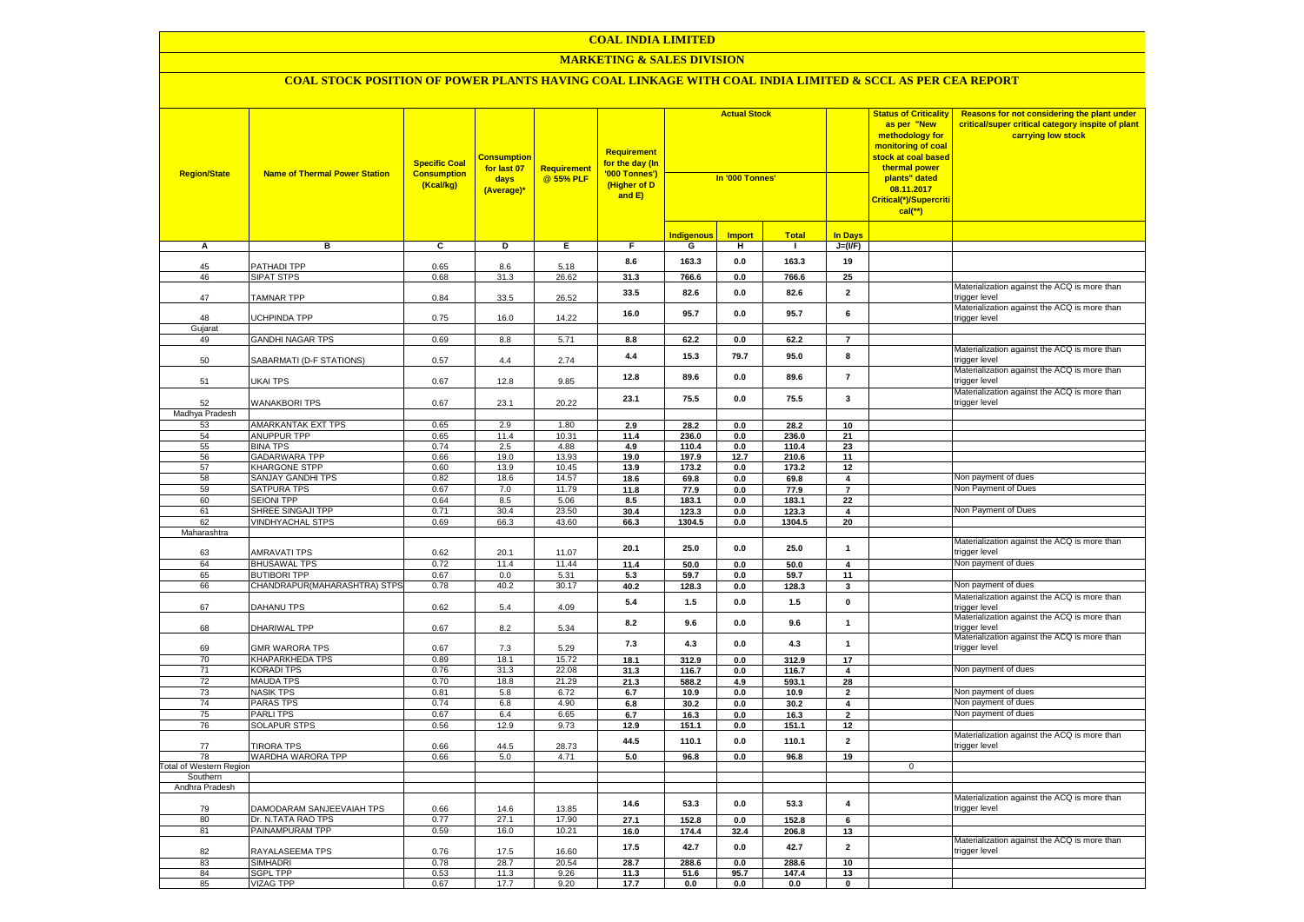### **MARKETING & SALES DIVISION**

| <b>Region/State</b>            | <b>Name of Thermal Power Station</b>    | <b>Specific Coal</b><br><b>Consumption</b><br>(Kcal/kg) | <b>Consumption</b><br>for last 07<br>days<br>(Average)* | Requirement<br>@ 55% PLF | Requirement<br>for the day (In<br>'000 Tonnes')<br>(Higher of D<br>and E) | <b>Actual Stock</b><br>In '000 Tonnes' |               |                | <b>Status of Criticality</b><br>as per "New<br>methodology for<br>monitoring of coal<br>stock at coal based<br>thermal power<br>plants" dated<br>08.11.2017<br>Critical(*)/Supercriti<br>$cal$ (**) | Reasons for not considering the plant under<br>critical/super critical category inspite of plant<br>carrying low stock |                                                               |
|--------------------------------|-----------------------------------------|---------------------------------------------------------|---------------------------------------------------------|--------------------------|---------------------------------------------------------------------------|----------------------------------------|---------------|----------------|-----------------------------------------------------------------------------------------------------------------------------------------------------------------------------------------------------|------------------------------------------------------------------------------------------------------------------------|---------------------------------------------------------------|
|                                |                                         |                                                         |                                                         |                          |                                                                           | <b>Indigenous</b>                      | <b>Import</b> | <b>Total</b>   | <b>In Days</b>                                                                                                                                                                                      |                                                                                                                        |                                                               |
| A                              | в                                       | $\overline{c}$                                          | D                                                       | Е.                       | F.                                                                        | G                                      | н             | $\mathbf{I}$   | $J=(VF)$                                                                                                                                                                                            |                                                                                                                        |                                                               |
|                                |                                         |                                                         |                                                         |                          | 8.6                                                                       | 163.3                                  | 0.0           | 163.3          | 19                                                                                                                                                                                                  |                                                                                                                        |                                                               |
| 45<br>46                       | PATHADI TPP<br><b>SIPAT STPS</b>        | 0.65<br>0.68                                            | 8.6<br>31.3                                             | 5.18<br>26.62            | 31.3                                                                      | 766.6                                  | 0.0           | 766.6          | 25                                                                                                                                                                                                  |                                                                                                                        |                                                               |
| 47                             | <b>TAMNAR TPP</b>                       | 0.84                                                    | 33.5                                                    | 26.52                    | 33.5                                                                      | 82.6                                   | 0.0           | 82.6           | $\overline{\mathbf{2}}$                                                                                                                                                                             |                                                                                                                        | Materialization against the ACQ is more than<br>trigger level |
| 48                             | <b>JCHPINDA TPP</b>                     | 0.75                                                    | 16.0                                                    | 14.22                    | 16.0                                                                      | 95.7                                   | 0.0           | 95.7           | 6                                                                                                                                                                                                   |                                                                                                                        | Materialization against the ACQ is more than<br>trigger level |
| Gujarat                        |                                         |                                                         |                                                         |                          |                                                                           |                                        |               |                |                                                                                                                                                                                                     |                                                                                                                        |                                                               |
| 49                             | <b>GANDHI NAGAR TPS</b>                 | 0.69                                                    | 8.8                                                     | 5.71                     | 8.8                                                                       | 62.2                                   | 0.0           | 62.2           | $\overline{7}$                                                                                                                                                                                      |                                                                                                                        |                                                               |
| 50                             | SABARMATI (D-F STATIONS)                | 0.57                                                    | 4.4                                                     | 2.74                     | 4.4                                                                       | 15.3                                   | 79.7          | 95.0           | 8                                                                                                                                                                                                   |                                                                                                                        | Materialization against the ACQ is more than<br>trigger level |
| 51                             | <b>UKAI TPS</b>                         | 0.67                                                    | 12.8                                                    | 9.85                     | 12.8                                                                      | 89.6                                   | 0.0           | 89.6           | $\overline{7}$                                                                                                                                                                                      |                                                                                                                        | Materialization against the ACQ is more than<br>trigger level |
| 52                             | <b>WANAKBORI TPS</b>                    | 0.67                                                    | 23.1                                                    | 20.22                    | 23.1                                                                      | 75.5                                   | 0.0           | 75.5           | 3                                                                                                                                                                                                   |                                                                                                                        | Materialization against the ACQ is more than<br>trigger level |
| Madhya Pradesh                 |                                         |                                                         |                                                         |                          |                                                                           |                                        |               |                |                                                                                                                                                                                                     |                                                                                                                        |                                                               |
| 53                             | AMARKANTAK EXT TPS                      | 0.65                                                    | 2.9                                                     | 1.80                     | 2.9                                                                       | 28.2                                   | 0.0           | 28.2           | 10                                                                                                                                                                                                  |                                                                                                                        |                                                               |
| 54                             | <b>ANUPPUR TPP</b>                      | 0.65                                                    | 11.4                                                    | 10.31                    | 11.4                                                                      | 236.0                                  | 0.0           | 236.0          | 21                                                                                                                                                                                                  |                                                                                                                        |                                                               |
| 55<br>56                       | <b>BINA TPS</b><br><b>GADARWARA TPP</b> | 0.74<br>0.66                                            | 2.5<br>19.0                                             | 4.88<br>13.93            | 4.9<br>19.0                                                               | 110.4<br>197.9                         | 0.0<br>12.7   | 110.4<br>210.6 | 23<br>11                                                                                                                                                                                            |                                                                                                                        |                                                               |
| 57                             | <b>KHARGONE STPP</b>                    | 0.60                                                    | 13.9                                                    | 10.45                    | 13.9                                                                      | 173.2                                  | 0.0           | 173.2          | 12                                                                                                                                                                                                  |                                                                                                                        |                                                               |
| 58                             | SANJAY GANDHI TPS                       | 0.82                                                    | 18.6                                                    | 14.57                    | 18.6                                                                      | 69.8                                   | 0.0           | 69.8           | $\boldsymbol{4}$                                                                                                                                                                                    |                                                                                                                        | Non payment of dues                                           |
| 59                             | SATPURA TPS                             | 0.67                                                    | 7.0                                                     | 11.79                    | 11.8                                                                      | 77.9                                   | 0.0           | 77.9           | $\overline{7}$                                                                                                                                                                                      |                                                                                                                        | Non Payment of Dues                                           |
| 60                             | <b>SEIONI TPP</b>                       | 0.64                                                    | 8.5                                                     | 5.06                     | 8.5                                                                       | 183.1                                  | 0.0           | 183.1          | 22                                                                                                                                                                                                  |                                                                                                                        |                                                               |
| 61                             | SHREE SINGAJI TPP                       | 0.71                                                    | 30.4                                                    | 23.50                    | 30.4                                                                      | 123.3                                  | 0.0           | 123.3          | 4                                                                                                                                                                                                   |                                                                                                                        | Non Payment of Dues                                           |
| 62                             | <b>VINDHYACHAL STPS</b>                 | 0.69                                                    | 66.3                                                    | 43.60                    | 66.3                                                                      | 1304.5                                 | 0.0           | 1304.5         | 20                                                                                                                                                                                                  |                                                                                                                        |                                                               |
| Maharashtra                    |                                         |                                                         |                                                         |                          |                                                                           |                                        |               |                |                                                                                                                                                                                                     |                                                                                                                        |                                                               |
| 63                             | <b>AMRAVATI TPS</b>                     | 0.62                                                    | 20.1                                                    | 11.07                    | 20.1                                                                      | 25.0                                   | 0.0           | 25.0           | $\mathbf{1}$                                                                                                                                                                                        |                                                                                                                        | Materialization against the ACQ is more than<br>trigger level |
| 64                             | <b>BHUSAWAL TPS</b>                     | 0.72                                                    | 11.4                                                    | 11.44                    | 11.4                                                                      | 50.0                                   | 0.0           | 50.0           | $\overline{4}$                                                                                                                                                                                      |                                                                                                                        | Non payment of dues                                           |
| 65                             | <b>BUTIBORI TPP</b>                     | 0.67                                                    | 0.0                                                     | 5.31                     | 5.3                                                                       | 59.7                                   | 0.0           | 59.7           | 11                                                                                                                                                                                                  |                                                                                                                        |                                                               |
| 66                             | CHANDRAPUR(MAHARASHTRA) STPS            | 0.78                                                    | 40.2                                                    | 30.17                    | 40.2                                                                      | 128.3                                  | $0.0\,$       | 128.3          | $\mathbf{3}$                                                                                                                                                                                        |                                                                                                                        | Non payment of dues                                           |
| 67                             | DAHANU TPS                              | 0.62                                                    | 5.4                                                     | 4.09                     | 5.4                                                                       | $1.5$                                  | 0.0           | 1.5            | $\pmb{0}$                                                                                                                                                                                           |                                                                                                                        | Materialization against the ACQ is more than<br>rigger level  |
| 68                             | DHARIWAL TPP                            | 0.67                                                    | 8.2                                                     | 5.34                     | 8.2                                                                       | 9.6                                    | 0.0           | 9.6            | $\mathbf{1}$                                                                                                                                                                                        |                                                                                                                        | Materialization against the ACQ is more than<br>trigger level |
| 69                             | <b>GMR WARORA TPS</b>                   | 0.67                                                    | 7.3                                                     | 5.29                     | 7.3                                                                       | 4.3                                    | 0.0           | 4.3            | $\mathbf{1}$                                                                                                                                                                                        |                                                                                                                        | Materialization against the ACQ is more than<br>trigger level |
| 70                             | KHAPARKHEDA TPS                         | 0.89                                                    | 18.1                                                    | 15.72                    | 18.1                                                                      | 312.9                                  | 0.0           | 312.9          | 17                                                                                                                                                                                                  |                                                                                                                        |                                                               |
| 71                             | <b>KORADI TPS</b><br><b>MAUDA TPS</b>   | 0.76                                                    | 31.3<br>18.8                                            | 22.08                    | 31.3                                                                      | 116.7                                  | $0.0\,$       | 116.7          | $\overline{\mathbf{4}}$                                                                                                                                                                             |                                                                                                                        | Non payment of dues                                           |
| 72<br>73                       | <b>NASIK TPS</b>                        | 0.70<br>0.81                                            | 5.8                                                     | 21.29<br>6.72            | 21.3<br>6.7                                                               | 588.2<br>10.9                          | 4.9<br>0.0    | 593.1<br>10.9  | 28<br>$\overline{\mathbf{2}}$                                                                                                                                                                       |                                                                                                                        | Non payment of dues                                           |
| 74                             | PARAS TPS                               | 0.74                                                    | 6.8                                                     | 4.90                     | 6.8                                                                       | 30.2                                   | 0.0           | 30.2           | $\overline{4}$                                                                                                                                                                                      |                                                                                                                        | Non payment of dues                                           |
| 75                             | <b>PARLITPS</b>                         | 0.67                                                    | 6.4                                                     | 6.65                     | 6.7                                                                       | 16.3                                   | 0.0           | 16.3           | $\overline{2}$                                                                                                                                                                                      |                                                                                                                        | Non payment of dues                                           |
| 76                             | <b>SOLAPUR STPS</b>                     | 0.56                                                    | 12.9                                                    | 9.73                     | 12.9                                                                      | 151.1                                  | 0.0           | 151.1          | 12                                                                                                                                                                                                  |                                                                                                                        |                                                               |
|                                |                                         |                                                         |                                                         |                          | 44.5                                                                      | 110.1                                  | 0.0           | 110.1          | $\overline{2}$                                                                                                                                                                                      |                                                                                                                        | Materialization against the ACQ is more than                  |
| 77<br>78                       | <b>TIRORA TPS</b><br>WARDHA WARORA TPP  | 0.66<br>0.66                                            | 44.5<br>5.0                                             | 28.73<br>4.71            | 5.0                                                                       | 96.8                                   | 0.0           | 96.8           | 19                                                                                                                                                                                                  |                                                                                                                        | trigger level                                                 |
| <b>Total of Western Region</b> |                                         |                                                         |                                                         |                          |                                                                           |                                        |               |                |                                                                                                                                                                                                     | 0                                                                                                                      |                                                               |
| Southern<br>Andhra Pradesh     |                                         |                                                         |                                                         |                          |                                                                           |                                        |               |                |                                                                                                                                                                                                     |                                                                                                                        |                                                               |
| 79                             | DAMODARAM SANJEEVAIAH TPS               | 0.66                                                    | 14.6                                                    | 13.85                    | 14.6                                                                      | 53.3                                   | 0.0           | 53.3           | $\overline{\mathbf{4}}$                                                                                                                                                                             |                                                                                                                        | Materialization against the ACQ is more than<br>trigger level |
| 80                             | Dr. N.TATA RAO TPS                      | 0.77                                                    | 27.1                                                    | 17.90                    | 27.1                                                                      | 152.8                                  | 0.0           | 152.8          | 6                                                                                                                                                                                                   |                                                                                                                        |                                                               |
| 81                             | PAINAMPURAM TPP                         | 0.59                                                    | 16.0                                                    | 10.21                    | 16.0                                                                      | 174.4                                  | 32.4          | 206.8          | 13                                                                                                                                                                                                  |                                                                                                                        |                                                               |
| 82                             | RAYALASEEMA TPS                         | 0.76                                                    | 17.5                                                    | 16.60                    | 17.5                                                                      | 42.7                                   | 0.0           | 42.7           | $\overline{\mathbf{2}}$                                                                                                                                                                             |                                                                                                                        | Materialization against the ACQ is more than<br>trigger level |
| 83                             | <b>SIMHADRI</b>                         | 0.78                                                    | 28.7                                                    | 20.54                    | 28.7                                                                      | 288.6                                  | 0.0           | 288.6          | 10                                                                                                                                                                                                  |                                                                                                                        |                                                               |
| 84                             | <b>SGPL TPP</b>                         | 0.53                                                    | 11.3                                                    | 9.26                     | 11.3                                                                      | 51.6                                   | 95.7          | 147.4          | 13                                                                                                                                                                                                  |                                                                                                                        |                                                               |
| 85                             | <b>VIZAG TPP</b>                        | 0.67                                                    | 17.7                                                    | 9.20                     | 17.7                                                                      | 0.0                                    | 0.0           | 0.0            | $\mathbf 0$                                                                                                                                                                                         |                                                                                                                        |                                                               |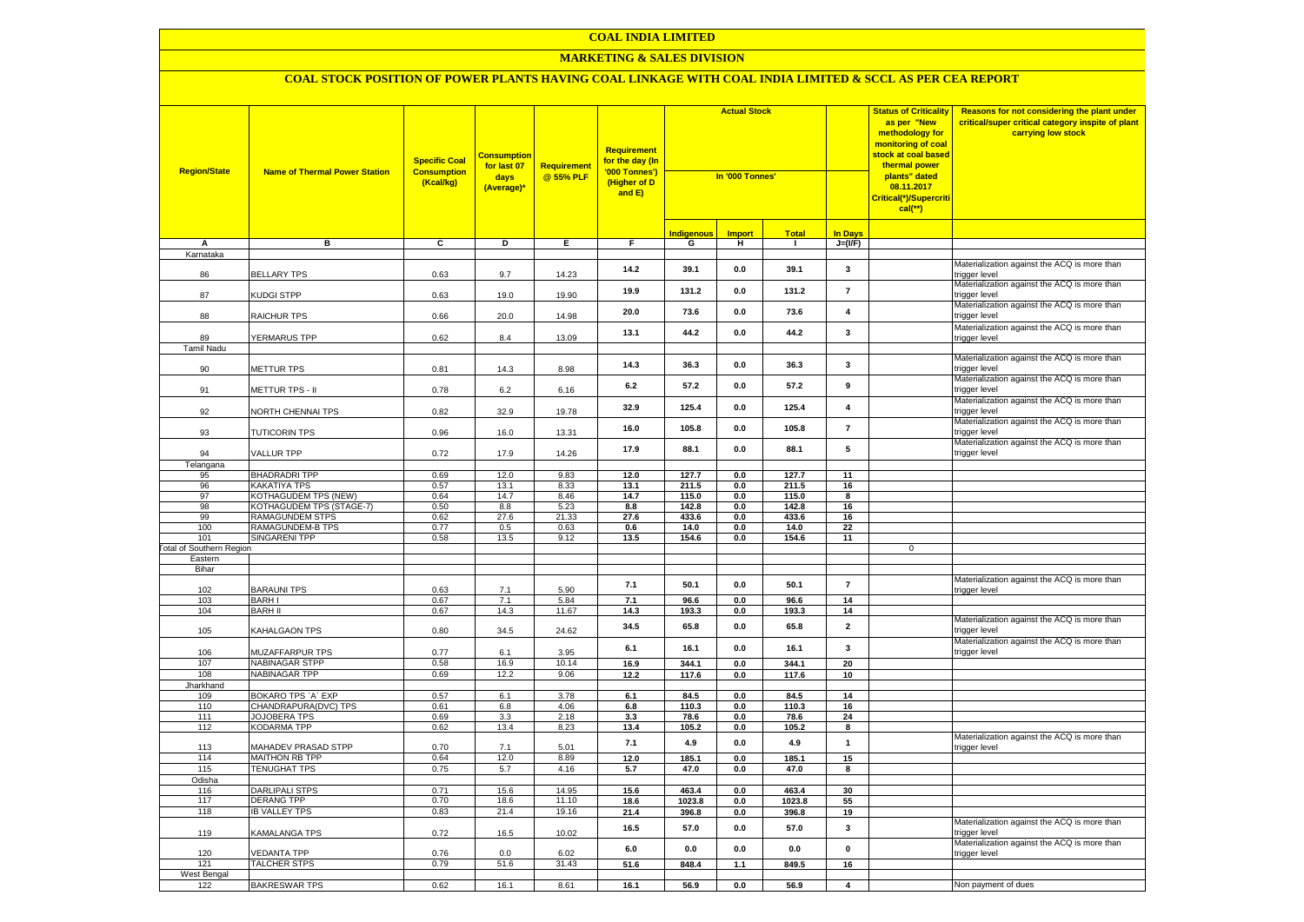### **MARKETING & SALES DIVISION**

| <b>Region/State</b>             | <b>Name of Thermal Power Station</b>                    | <b>Specific Coal</b><br><b>Consumption</b><br>(Kcal/kg) | <mark>Consumption</mark><br>for last 07<br>days<br>(Average)* | <b>Requirement</b><br>@ 55% PLF | Requirement<br>for the day (In<br>'000 Tonnes')<br>(Higher of D<br>and E) | <b>Actual Stock</b><br>In '000 Tonnes' |               |                |                         | <b>Status of Criticality</b><br>as per "New<br>methodology for<br>monitoring of coal<br>stock at coal based<br>thermal power<br>plants" dated<br>08.11.2017<br>Critical(*)/Supercriti<br>$cal$ (**) | Reasons for not considering the plant under<br>critical/super critical category inspite of plant<br>carrying low stock |
|---------------------------------|---------------------------------------------------------|---------------------------------------------------------|---------------------------------------------------------------|---------------------------------|---------------------------------------------------------------------------|----------------------------------------|---------------|----------------|-------------------------|-----------------------------------------------------------------------------------------------------------------------------------------------------------------------------------------------------|------------------------------------------------------------------------------------------------------------------------|
|                                 |                                                         |                                                         |                                                               |                                 |                                                                           | <mark>Indigenous</mark>                | <b>Import</b> | <b>Total</b>   | <b>In Days</b>          |                                                                                                                                                                                                     |                                                                                                                        |
| A                               | в                                                       | C                                                       | D                                                             | Е.                              | F.                                                                        | G                                      | н             | $\mathbf{I}$   | $J=(VF)$                |                                                                                                                                                                                                     |                                                                                                                        |
| Karnataka                       |                                                         |                                                         |                                                               |                                 |                                                                           |                                        |               |                |                         |                                                                                                                                                                                                     | Materialization against the ACQ is more than                                                                           |
| 86                              | <b>BELLARY TPS</b>                                      | 0.63                                                    | 9.7                                                           | 14.23                           | 14.2                                                                      | 39.1                                   | 0.0           | 39.1           | 3                       |                                                                                                                                                                                                     | trigger level<br>Materialization against the ACQ is more than                                                          |
| 87                              | KUDGI STPP                                              | 0.63                                                    | 19.0                                                          | 19.90                           | 19.9                                                                      | 131.2                                  | 0.0           | 131.2          | $\overline{7}$          |                                                                                                                                                                                                     | trigger level                                                                                                          |
| 88                              | RAICHUR TPS                                             | 0.66                                                    | 20.0                                                          | 14.98                           | 20.0                                                                      | 73.6                                   | 0.0           | 73.6           | $\overline{\mathbf{4}}$ |                                                                                                                                                                                                     | Materialization against the ACQ is more than<br>rigger level                                                           |
| 89                              | <b>YERMARUS TPP</b>                                     | 0.62                                                    | 8.4                                                           | 13.09                           | 13.1                                                                      | 44.2                                   | 0.0           | 44.2           | $\mathbf{3}$            |                                                                                                                                                                                                     | Materialization against the ACQ is more than<br>trigger level                                                          |
| <b>Tamil Nadu</b>               |                                                         |                                                         |                                                               |                                 |                                                                           |                                        |               |                |                         |                                                                                                                                                                                                     |                                                                                                                        |
| 90                              | <b>METTUR TPS</b>                                       | 0.81                                                    | 14.3                                                          | 8.98                            | 14.3                                                                      | 36.3                                   | 0.0           | 36.3           | $\mathbf{3}$            |                                                                                                                                                                                                     | Materialization against the ACQ is more than<br>rigger level                                                           |
| 91                              | METTUR TPS - II                                         | 0.78                                                    | 6.2                                                           | 6.16                            | 6.2                                                                       | 57.2                                   | 0.0           | 57.2           | 9                       |                                                                                                                                                                                                     | Materialization against the ACQ is more than<br>trigger level                                                          |
| 92                              | <b>VORTH CHENNAI TPS</b>                                | 0.82                                                    | 32.9                                                          | 19.78                           | 32.9                                                                      | 125.4                                  | 0.0           | 125.4          | $\overline{\mathbf{4}}$ |                                                                                                                                                                                                     | Materialization against the ACQ is more than<br>trigger level                                                          |
| 93                              | <b>TUTICORIN TPS</b>                                    | 0.96                                                    | 16.0                                                          | 13.31                           | 16.0                                                                      | 105.8                                  | 0.0           | 105.8          | $\overline{7}$          |                                                                                                                                                                                                     | Materialization against the ACQ is more than<br>rigger level                                                           |
| 94                              | <b>VALLUR TPP</b>                                       | 0.72                                                    | 17.9                                                          | 14.26                           | 17.9                                                                      | 88.1                                   | 0.0           | 88.1           | ${\bf 5}$               |                                                                                                                                                                                                     | Materialization against the ACQ is more than<br>trigger level                                                          |
| Telangana                       |                                                         |                                                         |                                                               |                                 |                                                                           |                                        |               |                |                         |                                                                                                                                                                                                     |                                                                                                                        |
| 95                              | <b>BHADRADRI TPP</b>                                    | 0.69                                                    | 12.0                                                          | 9.83                            | 12.0                                                                      | 127.7                                  | 0.0           | 127.7          | 11                      |                                                                                                                                                                                                     |                                                                                                                        |
| 96                              | <b>KAKATIYA TPS</b>                                     | 0.57                                                    | 13.1                                                          | 8.33                            | 13.1                                                                      | 211.5                                  | 0.0           | 211.5          | 16                      |                                                                                                                                                                                                     |                                                                                                                        |
| 97<br>98                        | KOTHAGUDEM TPS (NEW)<br><b>KOTHAGUDEM TPS (STAGE-7)</b> | 0.64<br>0.50                                            | 14.7<br>8.8                                                   | 8.46<br>5.23                    | 14.7<br>8.8                                                               | 115.0<br>142.8                         | 0.0<br>0.0    | 115.0<br>142.8 | 8<br>16                 |                                                                                                                                                                                                     |                                                                                                                        |
| 99                              | RAMAGUNDEM STPS                                         | 0.62                                                    | 27.6                                                          | 21.33                           | 27.6                                                                      | 433.6                                  | 0.0           | 433.6          | 16                      |                                                                                                                                                                                                     |                                                                                                                        |
| 100                             | RAMAGUNDEM-B TPS                                        | 0.77                                                    | 0.5                                                           | 0.63                            | 0.6                                                                       | 14.0                                   | 0.0           | 14.0           | 22                      |                                                                                                                                                                                                     |                                                                                                                        |
| 101                             | <b>SINGARENI TPP</b>                                    | 0.58                                                    | 13.5                                                          | 9.12                            | 13.5                                                                      | 154.6                                  | 0.0           | 154.6          | 11                      |                                                                                                                                                                                                     |                                                                                                                        |
| <b>Total of Southern Region</b> |                                                         |                                                         |                                                               |                                 |                                                                           |                                        |               |                |                         | $\mathbf 0$                                                                                                                                                                                         |                                                                                                                        |
| Eastern                         |                                                         |                                                         |                                                               |                                 |                                                                           |                                        |               |                |                         |                                                                                                                                                                                                     |                                                                                                                        |
| Bihar                           |                                                         |                                                         |                                                               |                                 |                                                                           |                                        |               |                |                         |                                                                                                                                                                                                     |                                                                                                                        |
| 102                             | <b>BARAUNI TPS</b>                                      | 0.63                                                    | 7.1                                                           | 5.90                            | 7.1                                                                       | 50.1                                   | 0.0           | 50.1           | $\overline{7}$          |                                                                                                                                                                                                     | Materialization against the ACQ is more than<br>rigger level                                                           |
| 103                             | <b>BARH I</b>                                           | 0.67                                                    | 7.1                                                           | 5.84                            | 7.1                                                                       | 96.6                                   | 0.0           | 96.6           | 14                      |                                                                                                                                                                                                     |                                                                                                                        |
| 104                             | <b>BARH II</b>                                          | 0.67                                                    | 14.3                                                          | 11.67                           | 14.3                                                                      | 193.3                                  | 0.0           | 193.3          | 14                      |                                                                                                                                                                                                     |                                                                                                                        |
| 105                             | KAHALGAON TPS                                           | 0.80                                                    | 34.5                                                          | 24.62                           | 34.5                                                                      | 65.8                                   | 0.0           | 65.8           | $\overline{2}$          |                                                                                                                                                                                                     | Materialization against the ACQ is more than<br>rigger level                                                           |
| 106                             | MUZAFFARPUR TPS                                         | 0.77                                                    | 6.1                                                           | 3.95                            | 6.1                                                                       | 16.1                                   | 0.0           | 16.1           | $\mathbf{3}$            |                                                                                                                                                                                                     | Materialization against the ACQ is more than<br>rigger level                                                           |
| 107                             | NABINAGAR STPP                                          | 0.58                                                    | 16.9                                                          | 10.14                           | 16.9                                                                      | 344.1                                  | 0.0           | 344.1          | 20                      |                                                                                                                                                                                                     |                                                                                                                        |
| 108                             | <b>NABINAGAR TPP</b>                                    | 0.69                                                    | 12.2                                                          | 9.06                            | 12.2                                                                      | 117.6                                  | 0.0           | 117.6          | 10                      |                                                                                                                                                                                                     |                                                                                                                        |
| Jharkhand                       |                                                         | 0.57                                                    | 6.1                                                           |                                 | 6.1                                                                       | 84.5                                   |               | 84.5           | 14                      |                                                                                                                                                                                                     |                                                                                                                        |
| 109<br>110                      | BOKARO TPS 'A' EXP<br>CHANDRAPURA(DVC) TPS              | 0.61                                                    | 6.8                                                           | 3.78<br>4.06                    | 6.8                                                                       | 110.3                                  | 0.0<br>0.0    | 110.3          | 16                      |                                                                                                                                                                                                     |                                                                                                                        |
| 111                             | <b>JOJOBERA TPS</b>                                     | 0.69                                                    | 3.3                                                           | 2.18                            | 3.3                                                                       | 78.6                                   | 0.0           | 78.6           | 24                      |                                                                                                                                                                                                     |                                                                                                                        |
| 112                             | <b>KODARMA TPP</b>                                      | 0.62                                                    | 13.4                                                          | 8.23                            | 13.4                                                                      | 105.2                                  | 0.0           | 105.2          | 8                       |                                                                                                                                                                                                     |                                                                                                                        |
| 113                             | MAHADEV PRASAD STPP                                     | 0.70                                                    | 7.1                                                           | 5.01                            | 7.1                                                                       | 4.9                                    | 0.0           | 4.9            | $\mathbf{1}$            |                                                                                                                                                                                                     | Materialization against the ACQ is more than<br>rigger level                                                           |
| 114                             | <b>MAITHON RB TPP</b>                                   | 0.64                                                    | 12.0                                                          | 8.89                            | 12.0                                                                      | 185.1                                  | 0.0           | 185.1          | 15                      |                                                                                                                                                                                                     |                                                                                                                        |
| 115                             | <b>TENUGHAT TPS</b>                                     | 0.75                                                    | 5.7                                                           | 4.16                            | 5.7                                                                       | 47.0                                   | 0.0           | 47.0           | 8                       |                                                                                                                                                                                                     |                                                                                                                        |
| Odisha                          |                                                         |                                                         |                                                               |                                 |                                                                           |                                        |               |                |                         |                                                                                                                                                                                                     |                                                                                                                        |
| 116                             | <b>DARLIPALI STPS</b>                                   | 0.71                                                    | 15.6                                                          | 14.95                           | 15.6                                                                      | 463.4                                  | 0.0           | 463.4          | 30                      |                                                                                                                                                                                                     |                                                                                                                        |
| 117                             | <b>DERANG TPP</b>                                       | 0.70                                                    | 18.6                                                          | 11.10                           | 18.6                                                                      | 1023.8                                 | 0.0           | 1023.8         | 55                      |                                                                                                                                                                                                     |                                                                                                                        |
| 118                             | <b>IB VALLEY TPS</b>                                    | 0.83                                                    | 21.4                                                          | 19.16                           | 21.4                                                                      | 396.8                                  | 0.0           | 396.8          | 19                      |                                                                                                                                                                                                     |                                                                                                                        |
| 119                             | KAMALANGA TPS                                           | 0.72                                                    | 16.5                                                          | 10.02                           | 16.5                                                                      | 57.0                                   | 0.0           | 57.0           | $\mathbf{3}$            |                                                                                                                                                                                                     | Materialization against the ACQ is more than<br>rigger level                                                           |
| 120                             | <b>VEDANTA TPP</b>                                      | 0.76                                                    | 0.0                                                           | 6.02                            | 6.0                                                                       | 0.0                                    | 0.0           | 0.0            | $\pmb{0}$               |                                                                                                                                                                                                     | Materialization against the ACQ is more than<br>trigger level                                                          |
| 121                             | <b>TALCHER STPS</b>                                     | 0.79                                                    | 51.6                                                          | 31.43                           | 51.6                                                                      | 848.4                                  | 1.1           | 849.5          | 16                      |                                                                                                                                                                                                     |                                                                                                                        |
| West Bengal                     |                                                         | 0.62                                                    | 16.1                                                          | 8.61                            |                                                                           |                                        |               |                | $\overline{\mathbf{4}}$ |                                                                                                                                                                                                     | Non payment of dues                                                                                                    |
| 122                             | <b>BAKRESWAR TPS</b>                                    |                                                         |                                                               |                                 | 16.1                                                                      | 56.9                                   | 0.0           | 56.9           |                         |                                                                                                                                                                                                     |                                                                                                                        |